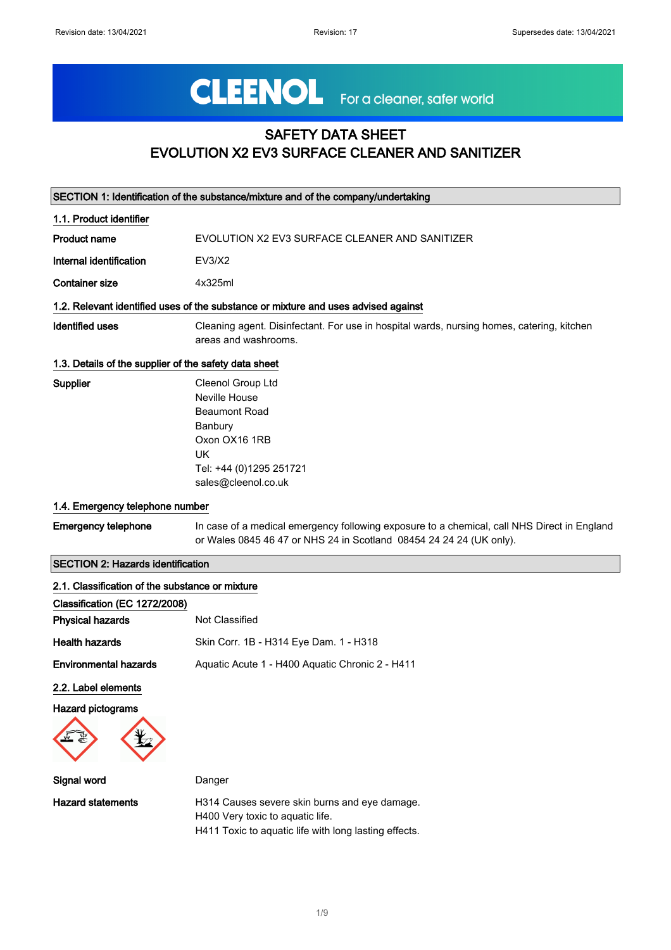# CLEENOL For a cleaner, safer world

## SAFETY DATA SHEET EVOLUTION X2 EV3 SURFACE CLEANER AND SANITIZER

|                                                       | SECTION 1: Identification of the substance/mixture and of the company/undertaking                                                                                  |
|-------------------------------------------------------|--------------------------------------------------------------------------------------------------------------------------------------------------------------------|
| 1.1. Product identifier                               |                                                                                                                                                                    |
| <b>Product name</b>                                   | EVOLUTION X2 EV3 SURFACE CLEANER AND SANITIZER                                                                                                                     |
| Internal identification                               | EV3/X2                                                                                                                                                             |
| <b>Container size</b>                                 | 4x325ml                                                                                                                                                            |
|                                                       | 1.2. Relevant identified uses of the substance or mixture and uses advised against                                                                                 |
| <b>Identified uses</b>                                | Cleaning agent. Disinfectant. For use in hospital wards, nursing homes, catering, kitchen<br>areas and washrooms.                                                  |
| 1.3. Details of the supplier of the safety data sheet |                                                                                                                                                                    |
| Supplier                                              | Cleenol Group Ltd<br>Neville House<br><b>Beaumont Road</b><br>Banbury<br>Oxon OX16 1RB<br><b>UK</b><br>Tel: +44 (0)1295 251721<br>sales@cleenol.co.uk              |
| 1.4. Emergency telephone number                       |                                                                                                                                                                    |
| <b>Emergency telephone</b>                            | In case of a medical emergency following exposure to a chemical, call NHS Direct in England<br>or Wales 0845 46 47 or NHS 24 in Scotland 08454 24 24 24 (UK only). |
| <b>SECTION 2: Hazards identification</b>              |                                                                                                                                                                    |
| 2.1. Classification of the substance or mixture       |                                                                                                                                                                    |
| Classification (EC 1272/2008)                         |                                                                                                                                                                    |
| <b>Physical hazards</b>                               | Not Classified                                                                                                                                                     |
| <b>Health hazards</b>                                 | Skin Corr. 1B - H314 Eye Dam. 1 - H318                                                                                                                             |
| <b>Environmental hazards</b>                          | Aquatic Acute 1 - H400 Aquatic Chronic 2 - H411                                                                                                                    |
| 2.2. Label elements                                   |                                                                                                                                                                    |
| <b>Hazard pictograms</b>                              |                                                                                                                                                                    |
| Signal word                                           | Danger                                                                                                                                                             |
| <b>Hazard statements</b>                              | H314 Causes severe skin burns and eye damage.<br>H400 Very toxic to aquatic life.<br>H411 Toxic to aquatic life with long lasting effects.                         |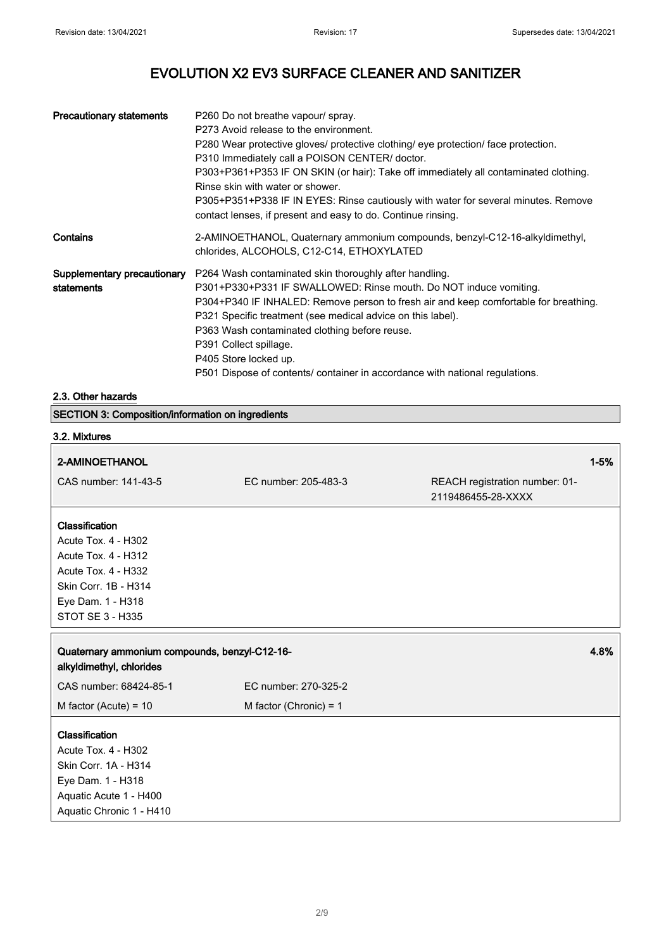| <b>Precautionary statements</b>           | P260 Do not breathe vapour/ spray.<br>P273 Avoid release to the environment.<br>P280 Wear protective gloves/ protective clothing/ eye protection/ face protection.<br>P310 Immediately call a POISON CENTER/ doctor.<br>P303+P361+P353 IF ON SKIN (or hair): Take off immediately all contaminated clothing.<br>Rinse skin with water or shower.<br>P305+P351+P338 IF IN EYES: Rinse cautiously with water for several minutes. Remove<br>contact lenses, if present and easy to do. Continue rinsing. |
|-------------------------------------------|--------------------------------------------------------------------------------------------------------------------------------------------------------------------------------------------------------------------------------------------------------------------------------------------------------------------------------------------------------------------------------------------------------------------------------------------------------------------------------------------------------|
| Contains                                  | 2-AMINOETHANOL, Quaternary ammonium compounds, benzyl-C12-16-alkyldimethyl,<br>chlorides, ALCOHOLS, C12-C14, ETHOXYLATED                                                                                                                                                                                                                                                                                                                                                                               |
| Supplementary precautionary<br>statements | P264 Wash contaminated skin thoroughly after handling.<br>P301+P330+P331 IF SWALLOWED: Rinse mouth. Do NOT induce vomiting.<br>P304+P340 IF INHALED: Remove person to fresh air and keep comfortable for breathing.<br>P321 Specific treatment (see medical advice on this label).<br>P363 Wash contaminated clothing before reuse.<br>P391 Collect spillage.<br>P405 Store locked up.<br>P501 Dispose of contents/ container in accordance with national regulations.                                 |

#### 2.3. Other hazards

|  | SECTION 3: Composition/information on ingredients |  |
|--|---------------------------------------------------|--|
|--|---------------------------------------------------|--|

### 3.2. Mixtures

| 2-AMINOETHANOL                                                                                                                                                     |                          |                                                      | $1 - 5%$ |
|--------------------------------------------------------------------------------------------------------------------------------------------------------------------|--------------------------|------------------------------------------------------|----------|
| CAS number: 141-43-5                                                                                                                                               | EC number: 205-483-3     | REACH registration number: 01-<br>2119486455-28-XXXX |          |
| <b>Classification</b><br>Acute Tox. 4 - H302<br><b>Acute Tox. 4 - H312</b><br>Acute Tox. 4 - H332<br>Skin Corr. 1B - H314<br>Eye Dam. 1 - H318<br>STOT SE 3 - H335 |                          |                                                      |          |
|                                                                                                                                                                    |                          |                                                      |          |
| Quaternary ammonium compounds, benzyl-C12-16-<br>alkyldimethyl, chlorides                                                                                          |                          |                                                      | 4.8%     |
| CAS number: 68424-85-1                                                                                                                                             | EC number: 270-325-2     |                                                      |          |
| M factor (Acute) = $10$                                                                                                                                            | M factor (Chronic) = $1$ |                                                      |          |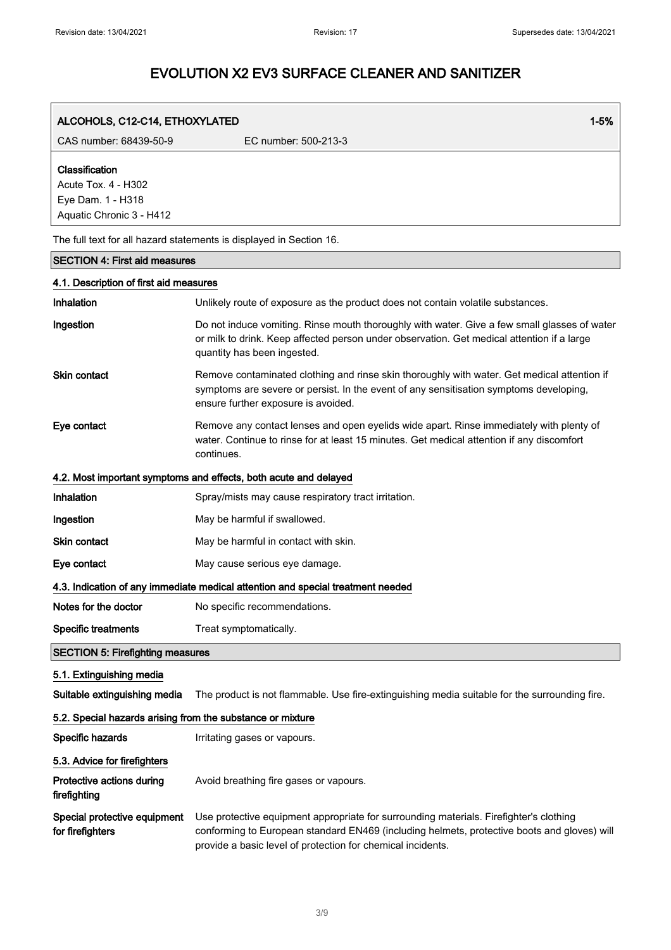| ALCOHOLS, C12-C14, ETHOXYLATED                                                         | $1 - 5%$                                                                                                                                                                                                                                             |  |
|----------------------------------------------------------------------------------------|------------------------------------------------------------------------------------------------------------------------------------------------------------------------------------------------------------------------------------------------------|--|
| CAS number: 68439-50-9                                                                 | EC number: 500-213-3                                                                                                                                                                                                                                 |  |
| Classification<br>Acute Tox. 4 - H302<br>Eye Dam. 1 - H318<br>Aquatic Chronic 3 - H412 |                                                                                                                                                                                                                                                      |  |
|                                                                                        | The full text for all hazard statements is displayed in Section 16.                                                                                                                                                                                  |  |
| <b>SECTION 4: First aid measures</b>                                                   |                                                                                                                                                                                                                                                      |  |
| 4.1. Description of first aid measures                                                 |                                                                                                                                                                                                                                                      |  |
| Inhalation                                                                             | Unlikely route of exposure as the product does not contain volatile substances.                                                                                                                                                                      |  |
| Ingestion                                                                              | Do not induce vomiting. Rinse mouth thoroughly with water. Give a few small glasses of water<br>or milk to drink. Keep affected person under observation. Get medical attention if a large<br>quantity has been ingested.                            |  |
| Skin contact                                                                           | Remove contaminated clothing and rinse skin thoroughly with water. Get medical attention if<br>symptoms are severe or persist. In the event of any sensitisation symptoms developing,<br>ensure further exposure is avoided.                         |  |
| Eye contact                                                                            | Remove any contact lenses and open eyelids wide apart. Rinse immediately with plenty of<br>water. Continue to rinse for at least 15 minutes. Get medical attention if any discomfort<br>continues.                                                   |  |
|                                                                                        | 4.2. Most important symptoms and effects, both acute and delayed                                                                                                                                                                                     |  |
| Inhalation                                                                             | Spray/mists may cause respiratory tract irritation.                                                                                                                                                                                                  |  |
| Ingestion                                                                              | May be harmful if swallowed.                                                                                                                                                                                                                         |  |
| <b>Skin contact</b>                                                                    | May be harmful in contact with skin.                                                                                                                                                                                                                 |  |
| Eye contact                                                                            | May cause serious eye damage.                                                                                                                                                                                                                        |  |
| 4.3. Indication of any immediate medical attention and special treatment needed        |                                                                                                                                                                                                                                                      |  |
| Notes for the doctor                                                                   | No specific recommendations.                                                                                                                                                                                                                         |  |
| <b>Specific treatments</b>                                                             | Treat symptomatically.                                                                                                                                                                                                                               |  |
| <b>SECTION 5: Firefighting measures</b>                                                |                                                                                                                                                                                                                                                      |  |
| 5.1. Extinguishing media<br>Suitable extinguishing media                               | The product is not flammable. Use fire-extinguishing media suitable for the surrounding fire.                                                                                                                                                        |  |
| 5.2. Special hazards arising from the substance or mixture                             |                                                                                                                                                                                                                                                      |  |
| Specific hazards                                                                       | Irritating gases or vapours.                                                                                                                                                                                                                         |  |
| 5.3. Advice for firefighters                                                           |                                                                                                                                                                                                                                                      |  |
| Protective actions during<br>firefighting                                              | Avoid breathing fire gases or vapours.                                                                                                                                                                                                               |  |
| Special protective equipment<br>for firefighters                                       | Use protective equipment appropriate for surrounding materials. Firefighter's clothing<br>conforming to European standard EN469 (including helmets, protective boots and gloves) will<br>provide a basic level of protection for chemical incidents. |  |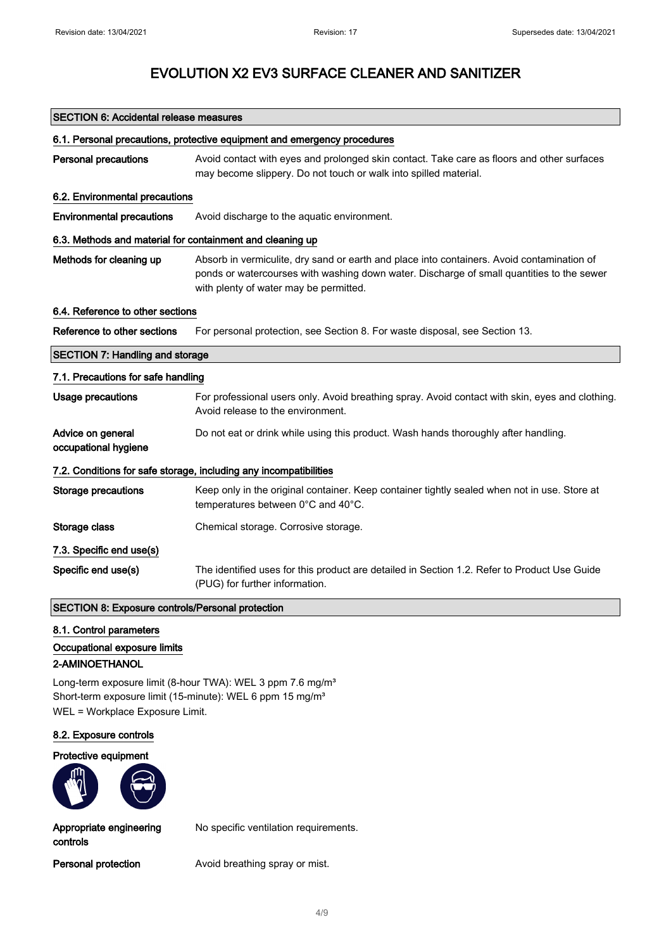## SECTION 6: Accidental release measures 6.1. Personal precautions, protective equipment and emergency procedures Personal precautions Avoid contact with eyes and prolonged skin contact. Take care as floors and other surfaces may become slippery. Do not touch or walk into spilled material. 6.2. Environmental precautions Environmental precautions Avoid discharge to the aquatic environment. 6.3. Methods and material for containment and cleaning up Methods for cleaning up Absorb in vermiculite, dry sand or earth and place into containers. Avoid contamination of ponds or watercourses with washing down water. Discharge of small quantities to the sewer with plenty of water may be permitted. 6.4. Reference to other sections Reference to other sections For personal protection, see Section 8. For waste disposal, see Section 13. SECTION 7: Handling and storage 7.1. Precautions for safe handling Usage precautions For professional users only. Avoid breathing spray. Avoid contact with skin, eyes and clothing. Avoid release to the environment. Advice on general occupational hygiene Do not eat or drink while using this product. Wash hands thoroughly after handling. 7.2. Conditions for safe storage, including any incompatibilities Storage precautions Keep only in the original container. Keep container tightly sealed when not in use. Store at temperatures between 0°C and 40°C. Storage class **Chemical storage.** Corrosive storage. 7.3. Specific end use(s) Specific end use(s) The identified uses for this product are detailed in Section 1.2. Refer to Product Use Guide (PUG) for further information. SECTION 8: Exposure controls/Personal protection 8.1. Control parameters

Occupational exposure limits

#### 2-AMINOETHANOL

Long-term exposure limit (8-hour TWA): WEL 3 ppm 7.6 mg/m<sup>3</sup> Short-term exposure limit (15-minute): WEL 6 ppm 15 mg/m<sup>3</sup> WEL = Workplace Exposure Limit.

#### 8.2. Exposure controls

Protective equipment



Appropriate engineering controls

No specific ventilation requirements.

Personal protection **Avoid breathing spray or mist.**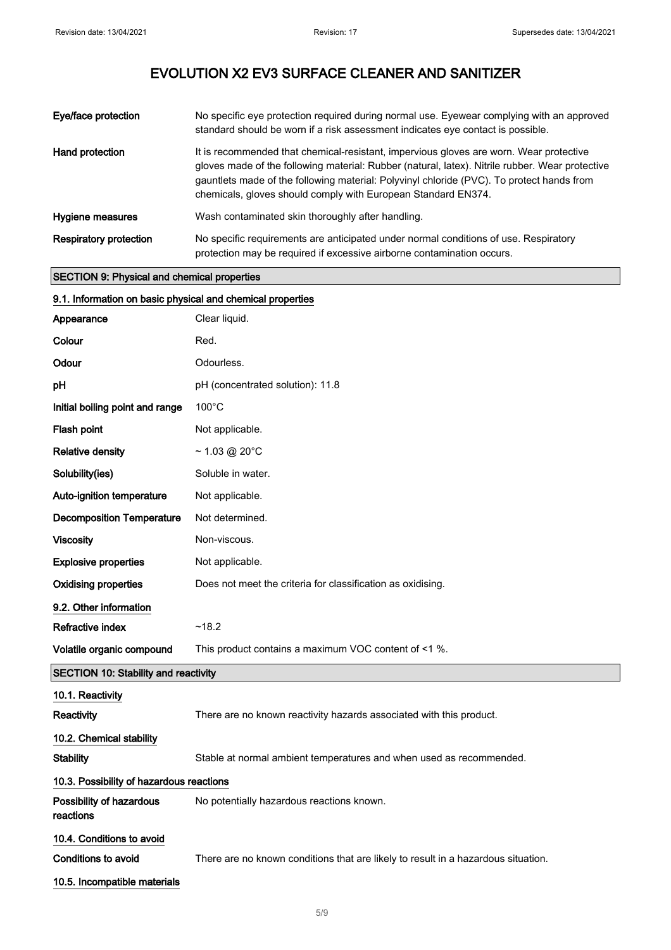| Eye/face protection           | No specific eye protection required during normal use. Eyewear complying with an approved<br>standard should be worn if a risk assessment indicates eye contact is possible.                                                                                                                                                                            |
|-------------------------------|---------------------------------------------------------------------------------------------------------------------------------------------------------------------------------------------------------------------------------------------------------------------------------------------------------------------------------------------------------|
| Hand protection               | It is recommended that chemical-resistant, impervious gloves are worn. Wear protective<br>gloves made of the following material: Rubber (natural, latex). Nitrile rubber. Wear protective<br>gauntlets made of the following material: Polyvinyl chloride (PVC). To protect hands from<br>chemicals, gloves should comply with European Standard EN374. |
| Hygiene measures              | Wash contaminated skin thoroughly after handling.                                                                                                                                                                                                                                                                                                       |
| <b>Respiratory protection</b> | No specific requirements are anticipated under normal conditions of use. Respiratory<br>protection may be required if excessive airborne contamination occurs.                                                                                                                                                                                          |

#### SECTION 9: Physical and chemical properties

| 9.1. Information on basic physical and chemical properties |                                                                                   |  |
|------------------------------------------------------------|-----------------------------------------------------------------------------------|--|
| Appearance                                                 | Clear liquid.                                                                     |  |
| Colour                                                     | Red.                                                                              |  |
| Odour                                                      | Odourless.                                                                        |  |
| pH                                                         | pH (concentrated solution): 11.8                                                  |  |
| Initial boiling point and range                            | $100^{\circ}$ C                                                                   |  |
| Flash point                                                | Not applicable.                                                                   |  |
| <b>Relative density</b>                                    | $~1.03$ @ 20°C                                                                    |  |
| Solubility(ies)                                            | Soluble in water.                                                                 |  |
| Auto-ignition temperature                                  | Not applicable.                                                                   |  |
| <b>Decomposition Temperature</b>                           | Not determined.                                                                   |  |
| <b>Viscosity</b>                                           | Non-viscous.                                                                      |  |
| <b>Explosive properties</b>                                | Not applicable.                                                                   |  |
| <b>Oxidising properties</b>                                | Does not meet the criteria for classification as oxidising.                       |  |
| 9.2. Other information                                     |                                                                                   |  |
| Refractive index                                           | ~18.2                                                                             |  |
| Volatile organic compound                                  | This product contains a maximum VOC content of <1 %.                              |  |
| <b>SECTION 10: Stability and reactivity</b>                |                                                                                   |  |
| 10.1. Reactivity                                           |                                                                                   |  |
| Reactivity                                                 | There are no known reactivity hazards associated with this product.               |  |
| 10.2. Chemical stability                                   |                                                                                   |  |
| <b>Stability</b>                                           | Stable at normal ambient temperatures and when used as recommended.               |  |
| 10.3. Possibility of hazardous reactions                   |                                                                                   |  |
| Possibility of hazardous<br>reactions                      | No potentially hazardous reactions known.                                         |  |
| 10.4. Conditions to avoid                                  |                                                                                   |  |
| Conditions to avoid                                        | There are no known conditions that are likely to result in a hazardous situation. |  |
| 10.5. Incompatible materials                               |                                                                                   |  |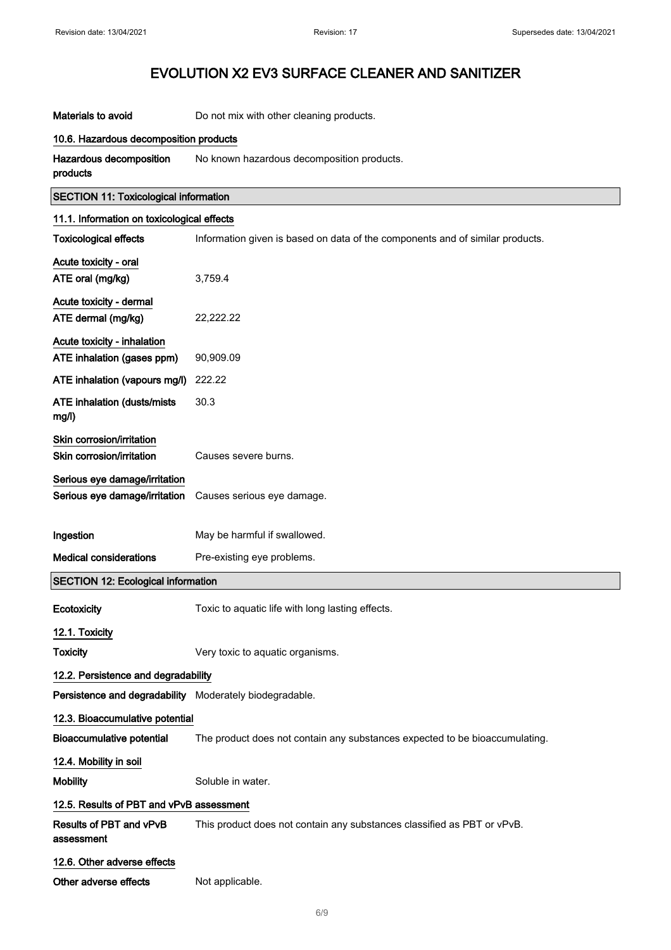| Materials to avoid                                                                        | Do not mix with other cleaning products.                                      |  |  |
|-------------------------------------------------------------------------------------------|-------------------------------------------------------------------------------|--|--|
| 10.6. Hazardous decomposition products                                                    |                                                                               |  |  |
| <b>Hazardous decomposition</b><br>products                                                | No known hazardous decomposition products.                                    |  |  |
| <b>SECTION 11: Toxicological information</b>                                              |                                                                               |  |  |
| 11.1. Information on toxicological effects                                                |                                                                               |  |  |
| <b>Toxicological effects</b>                                                              | Information given is based on data of the components and of similar products. |  |  |
| Acute toxicity - oral                                                                     |                                                                               |  |  |
| ATE oral (mg/kg)                                                                          | 3,759.4                                                                       |  |  |
| Acute toxicity - dermal                                                                   |                                                                               |  |  |
| ATE dermal (mg/kg)                                                                        | 22,222.22                                                                     |  |  |
| <b>Acute toxicity - inhalation</b>                                                        |                                                                               |  |  |
| ATE inhalation (gases ppm)                                                                | 90,909.09                                                                     |  |  |
| ATE inhalation (vapours mg/l)                                                             | 222.22                                                                        |  |  |
| <b>ATE inhalation (dusts/mists</b><br>mg/l)                                               | 30.3                                                                          |  |  |
| Skin corrosion/irritation                                                                 |                                                                               |  |  |
| Skin corrosion/irritation                                                                 | Causes severe burns.                                                          |  |  |
| Serious eye damage/irritation<br>Serious eye damage/irritation Causes serious eye damage. |                                                                               |  |  |
| Ingestion                                                                                 | May be harmful if swallowed.                                                  |  |  |
| <b>Medical considerations</b>                                                             | Pre-existing eye problems.                                                    |  |  |
| <b>SECTION 12: Ecological information</b>                                                 |                                                                               |  |  |
| Ecotoxicity                                                                               | Toxic to aquatic life with long lasting effects                               |  |  |
| 12.1. Toxicity                                                                            |                                                                               |  |  |
| <b>Toxicity</b>                                                                           | Very toxic to aquatic organisms.                                              |  |  |
| 12.2. Persistence and degradability                                                       |                                                                               |  |  |
| Persistence and degradability Moderately biodegradable.                                   |                                                                               |  |  |
| 12.3. Bioaccumulative potential                                                           |                                                                               |  |  |
| <b>Bioaccumulative potential</b>                                                          | The product does not contain any substances expected to be bioaccumulating.   |  |  |
| 12.4. Mobility in soil                                                                    |                                                                               |  |  |
| <b>Mobility</b>                                                                           | Soluble in water.                                                             |  |  |
| 12.5. Results of PBT and vPvB assessment                                                  |                                                                               |  |  |
| Results of PBT and vPvB<br>assessment                                                     | This product does not contain any substances classified as PBT or vPvB.       |  |  |
| 12.6. Other adverse effects                                                               |                                                                               |  |  |
| Other adverse effects                                                                     | Not applicable.                                                               |  |  |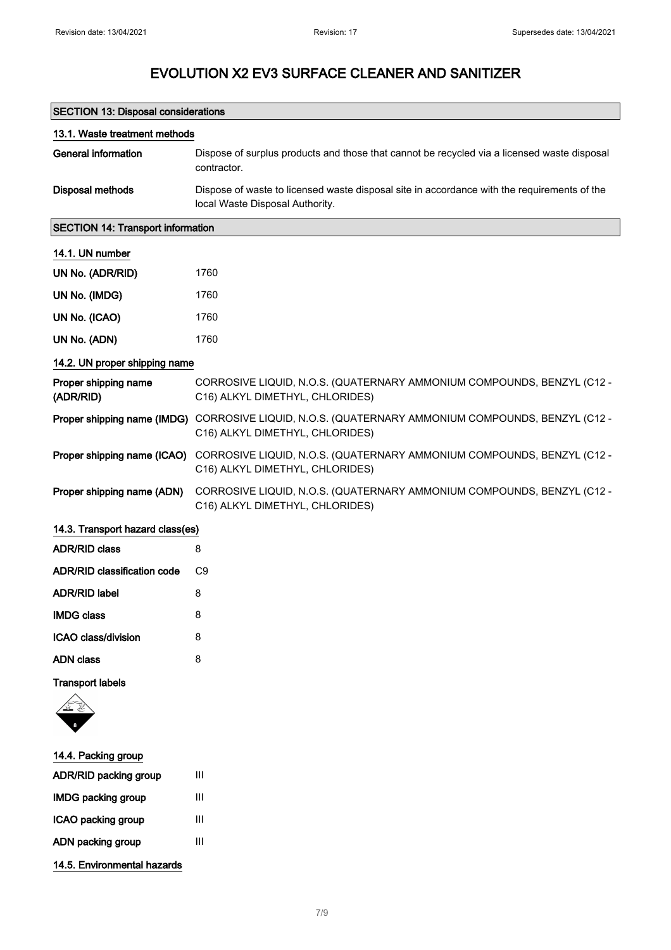| <b>SECTION 13: Disposal considerations</b> |                                                                                                                                       |  |  |
|--------------------------------------------|---------------------------------------------------------------------------------------------------------------------------------------|--|--|
| 13.1. Waste treatment methods              |                                                                                                                                       |  |  |
| <b>General information</b>                 | Dispose of surplus products and those that cannot be recycled via a licensed waste disposal<br>contractor.                            |  |  |
| <b>Disposal methods</b>                    | Dispose of waste to licensed waste disposal site in accordance with the requirements of the<br>local Waste Disposal Authority.        |  |  |
| <b>SECTION 14: Transport information</b>   |                                                                                                                                       |  |  |
| 14.1. UN number                            |                                                                                                                                       |  |  |
| UN No. (ADR/RID)                           | 1760                                                                                                                                  |  |  |
| UN No. (IMDG)                              | 1760                                                                                                                                  |  |  |
| UN No. (ICAO)                              | 1760                                                                                                                                  |  |  |
| UN No. (ADN)                               | 1760                                                                                                                                  |  |  |
| 14.2. UN proper shipping name              |                                                                                                                                       |  |  |
| Proper shipping name<br>(ADR/RID)          | CORROSIVE LIQUID, N.O.S. (QUATERNARY AMMONIUM COMPOUNDS, BENZYL (C12 -<br>C16) ALKYL DIMETHYL, CHLORIDES)                             |  |  |
|                                            | Proper shipping name (IMDG) CORROSIVE LIQUID, N.O.S. (QUATERNARY AMMONIUM COMPOUNDS, BENZYL (C12 -<br>C16) ALKYL DIMETHYL, CHLORIDES) |  |  |
|                                            | Proper shipping name (ICAO) CORROSIVE LIQUID, N.O.S. (QUATERNARY AMMONIUM COMPOUNDS, BENZYL (C12 -<br>C16) ALKYL DIMETHYL, CHLORIDES) |  |  |
| Proper shipping name (ADN)                 | CORROSIVE LIQUID, N.O.S. (QUATERNARY AMMONIUM COMPOUNDS, BENZYL (C12 -<br>C16) ALKYL DIMETHYL, CHLORIDES)                             |  |  |
| 14.3. Transport hazard class(es)           |                                                                                                                                       |  |  |
| <b>ADR/RID class</b>                       | 8                                                                                                                                     |  |  |
| <b>ADR/RID classification code</b>         | C9                                                                                                                                    |  |  |
| <b>ADR/RID label</b>                       | 8                                                                                                                                     |  |  |
| <b>IMDG class</b>                          | 8                                                                                                                                     |  |  |
| ICAO class/division                        | 8                                                                                                                                     |  |  |
| <b>ADN class</b>                           | 8                                                                                                                                     |  |  |

Transport labels



- 14.4. Packing group ADR/RID packing group III IMDG packing group III ICAO packing group III ADN packing group III
- 14.5. Environmental hazards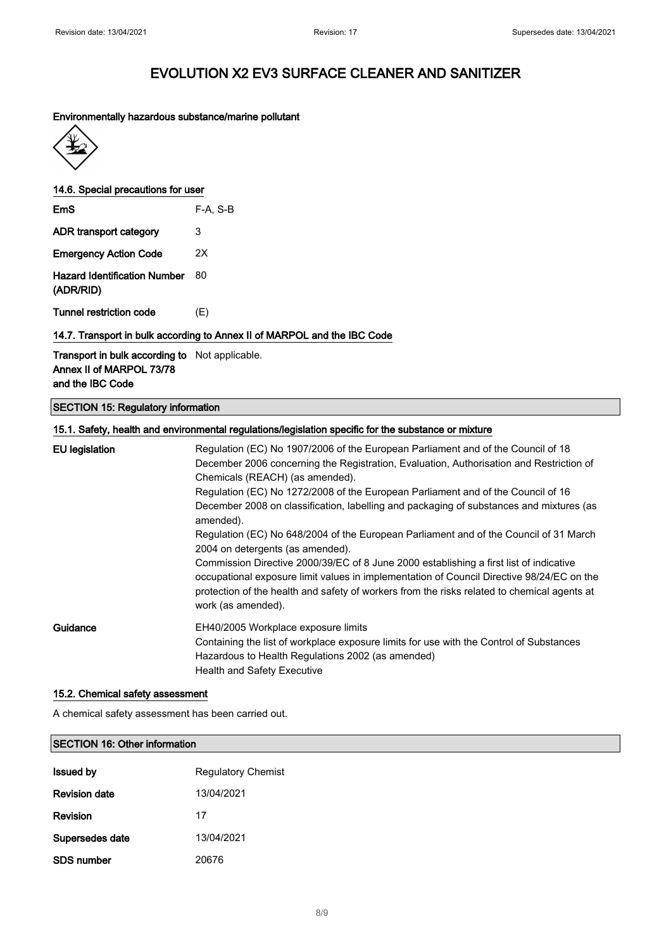#### Environmentally hazardous substance/marine pollutant



14.6. Special precautions for user

| EmS                                              | $F-A. S-B$ |
|--------------------------------------------------|------------|
| ADR transport category                           | 3          |
| <b>Emergency Action Code</b>                     | 2X         |
| <b>Hazard Identification Number</b><br>(ADR/RID) | 80         |

Tunnel restriction code (E)

#### 14.7. Transport in bulk according to Annex II of MARPOL and the IBC Code

#### Transport in bulk according to Not applicable. Annex II of MARPOL 73/78 and the IBC Code

#### SECTION 15: Regulatory information

|                       | 15.1. Safety, health and environmental regulations/legislation specific for the substance or mixture                                                                                                                                                                                                                                                                                                                                                                                                                                                                                                                                                                                                                                                                                                                                                |
|-----------------------|-----------------------------------------------------------------------------------------------------------------------------------------------------------------------------------------------------------------------------------------------------------------------------------------------------------------------------------------------------------------------------------------------------------------------------------------------------------------------------------------------------------------------------------------------------------------------------------------------------------------------------------------------------------------------------------------------------------------------------------------------------------------------------------------------------------------------------------------------------|
| <b>EU</b> legislation | Regulation (EC) No 1907/2006 of the European Parliament and of the Council of 18<br>December 2006 concerning the Registration, Evaluation, Authorisation and Restriction of<br>Chemicals (REACH) (as amended).<br>Regulation (EC) No 1272/2008 of the European Parliament and of the Council of 16<br>December 2008 on classification, labelling and packaging of substances and mixtures (as<br>amended).<br>Regulation (EC) No 648/2004 of the European Parliament and of the Council of 31 March<br>2004 on detergents (as amended).<br>Commission Directive 2000/39/EC of 8 June 2000 establishing a first list of indicative<br>occupational exposure limit values in implementation of Council Directive 98/24/EC on the<br>protection of the health and safety of workers from the risks related to chemical agents at<br>work (as amended). |
| Guidance              | EH40/2005 Workplace exposure limits<br>Containing the list of workplace exposure limits for use with the Control of Substances<br>Hazardous to Health Regulations 2002 (as amended)<br><b>Health and Safety Executive</b>                                                                                                                                                                                                                                                                                                                                                                                                                                                                                                                                                                                                                           |

#### 15.2. Chemical safety assessment

A chemical safety assessment has been carried out.

# SECTION 16: Other information **Issued by Regulatory Chemist**

| <b>Revision date</b> | 13/04/2021 |
|----------------------|------------|
| Revision             | 17         |
| Supersedes date      | 13/04/2021 |
| SDS number           | 20676      |